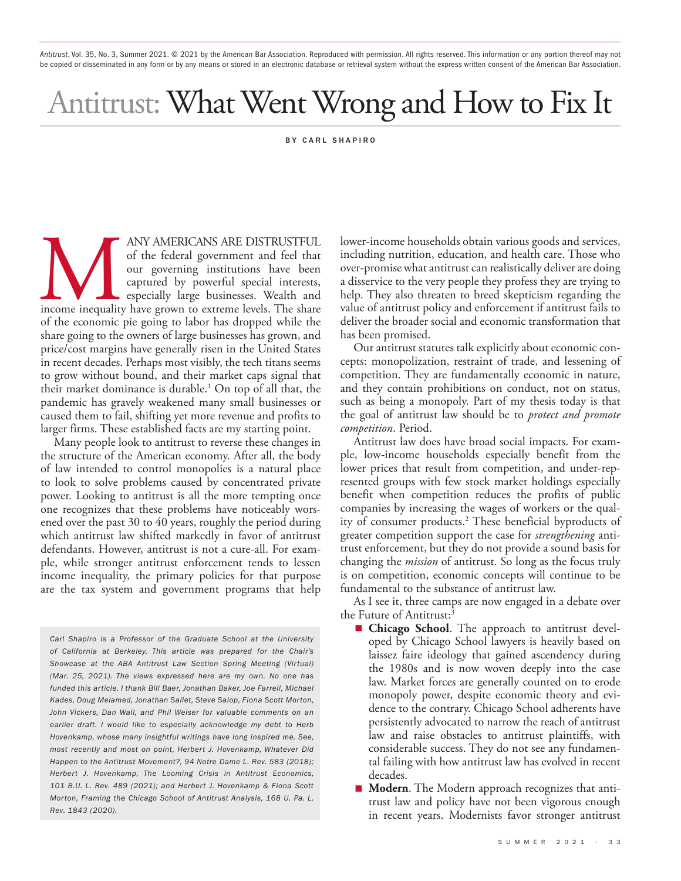*Antitrust*, Vol. 35, No. 3, Summer 2021. © 2021 by the American Bar Association. Reproduced with permission. All rights reserved. This information or any portion thereof may not be copied or disseminated in any form or by any means or stored in an electronic database or retrieval system without the express written consent of the American Bar Association.

# Antitrust: What Went Wrong and How to Fix It

#### BY CARL SHAPIRO

ANY AMERICANS ARE DISTRUSTFUL<br>of the federal government and feel that<br>our governing institutions have been<br>captured by powerful special interests,<br>especially large businesses. Wealth and<br>of the economic pie going to labor of the federal government and feel that our governing institutions have been captured by powerful special interests, especially large businesses. Wealth and income inequality have grown to extreme levels. The share of the economic pie going to labor has dropped while the share going to the owners of large businesses has grown, and price/cost margins have generally risen in the United States in recent decades. Perhaps most visibly, the tech titans seems to grow without bound, and their market caps signal that their market dominance is durable.1 On top of all that, the pandemic has gravely weakened many small businesses or caused them to fail, shifting yet more revenue and profits to larger firms. These established facts are my starting point.

Many people look to antitrust to reverse these changes in the structure of the American economy. After all, the body of law intended to control monopolies is a natural place to look to solve problems caused by concentrated private power. Looking to antitrust is all the more tempting once one recognizes that these problems have noticeably worsened over the past 30 to 40 years, roughly the period during which antitrust law shifted markedly in favor of antitrust defendants. However, antitrust is not a cure-all. For example, while stronger antitrust enforcement tends to lessen income inequality, the primary policies for that purpose are the tax system and government programs that help

*Carl Shapiro is a Professor of the Graduate School at the University of California at Berkeley. This article was prepared for the Chair's Showcase at the ABA Antitrust Law Section Spring Meeting (Virtual) (Mar. 25, 2021). The views expressed here are my own. No one has funded this article. I thank Bill Baer, Jonathan Baker, Joe Farrell, Michael Kades, Doug Melamed, Jonathan Sallet, Steve Salop, Fiona Scott Morton, John Vickers, Dan Wall, and Phil Weiser for valuable comments on an*  earlier draft. I would like to especially acknowledge my debt to Herb *Hovenkamp, whose many insightful writings have long inspired me. See, most recently and most on point, Herbert J. Hovenkamp, Whatever Did Happen to the Antitrust Movement?, 94 Notre Dame L. Rev. 583 (2018); Herbert J. Hovenkamp, The Looming Crisis in Antitrust Economics, 101 B.U. L. Rev. 489 (2021); and Herbert J. Hovenkamp & Fiona Scott Morton, Framing the Chicago School of Antitrust Analysis, 168 U. Pa. L. Rev. 1843 (2020).*

lower-income households obtain various goods and services, including nutrition, education, and health care. Those who over-promise what antitrust can realistically deliver are doing a disservice to the very people they profess they are trying to help. They also threaten to breed skepticism regarding the value of antitrust policy and enforcement if antitrust fails to deliver the broader social and economic transformation that has been promised.

Our antitrust statutes talk explicitly about economic concepts: monopolization, restraint of trade, and lessening of competition. They are fundamentally economic in nature, and they contain prohibitions on conduct, not on status, such as being a monopoly. Part of my thesis today is that the goal of antitrust law should be to *protect and promote competition*. Period.

Antitrust law does have broad social impacts. For example, low-income households especially benefit from the lower prices that result from competition, and under-represented groups with few stock market holdings especially benefit when competition reduces the profits of public companies by increasing the wages of workers or the quality of consumer products.2 These beneficial byproducts of greater competition support the case for *strengthening* antitrust enforcement, but they do not provide a sound basis for changing the *mission* of antitrust. So long as the focus truly is on competition, economic concepts will continue to be fundamental to the substance of antitrust law.

As I see it, three camps are now engaged in a debate over the Future of Antitrust:<sup>3</sup>

- **Chicago School**. The approach to antitrust developed by Chicago School lawyers is heavily based on laissez faire ideology that gained ascendency during the 1980s and is now woven deeply into the case law. Market forces are generally counted on to erode monopoly power, despite economic theory and evidence to the contrary. Chicago School adherents have persistently advocated to narrow the reach of antitrust law and raise obstacles to antitrust plaintiffs, with considerable success. They do not see any fundamental failing with how antitrust law has evolved in recent decades.
- **Modern**. The Modern approach recognizes that antitrust law and policy have not been vigorous enough in recent years. Modernists favor stronger antitrust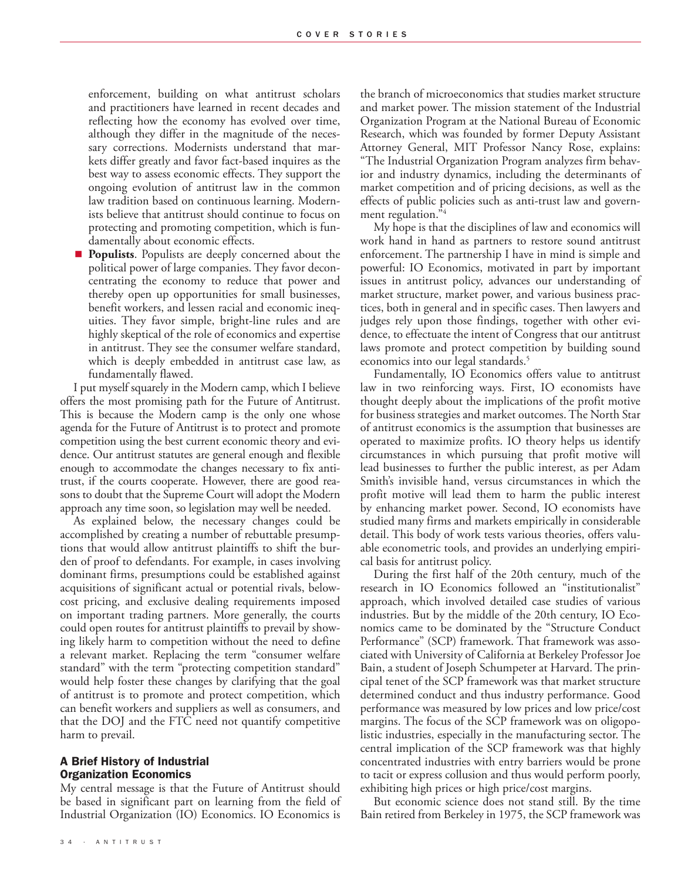enforcement, building on what antitrust scholars and practitioners have learned in recent decades and reflecting how the economy has evolved over time, although they differ in the magnitude of the necessary corrections. Modernists understand that markets differ greatly and favor fact-based inquires as the best way to assess economic effects. They support the ongoing evolution of antitrust law in the common law tradition based on continuous learning. Modernists believe that antitrust should continue to focus on protecting and promoting competition, which is fundamentally about economic effects.

■ **Populists**. Populists are deeply concerned about the political power of large companies. They favor deconcentrating the economy to reduce that power and thereby open up opportunities for small businesses, benefit workers, and lessen racial and economic inequities. They favor simple, bright-line rules and are highly skeptical of the role of economics and expertise in antitrust. They see the consumer welfare standard, which is deeply embedded in antitrust case law, as fundamentally flawed.

I put myself squarely in the Modern camp, which I believe offers the most promising path for the Future of Antitrust. This is because the Modern camp is the only one whose agenda for the Future of Antitrust is to protect and promote competition using the best current economic theory and evidence. Our antitrust statutes are general enough and flexible enough to accommodate the changes necessary to fix antitrust, if the courts cooperate. However, there are good reasons to doubt that the Supreme Court will adopt the Modern approach any time soon, so legislation may well be needed.

As explained below, the necessary changes could be accomplished by creating a number of rebuttable presumptions that would allow antitrust plaintiffs to shift the burden of proof to defendants. For example, in cases involving dominant firms, presumptions could be established against acquisitions of significant actual or potential rivals, belowcost pricing, and exclusive dealing requirements imposed on important trading partners. More generally, the courts could open routes for antitrust plaintiffs to prevail by showing likely harm to competition without the need to define a relevant market. Replacing the term "consumer welfare standard" with the term "protecting competition standard" would help foster these changes by clarifying that the goal of antitrust is to promote and protect competition, which can benefit workers and suppliers as well as consumers, and that the DOJ and the FTC need not quantify competitive harm to prevail.

# A Brief History of Industrial Organization Economics

My central message is that the Future of Antitrust should be based in significant part on learning from the field of Industrial Organization (IO) Economics. IO Economics is

the branch of microeconomics that studies market structure and market power. The mission statement of the [Industrial](https://www.nber.org/programs-projects/programs-working-groups/industrial-organization?page=1&perPage=50) [Organization Program](https://www.nber.org/programs-projects/programs-working-groups/industrial-organization?page=1&perPage=50) at the National Bureau of Economic Research, which was founded by former Deputy Assistant Attorney General, MIT Professor Nancy Rose, explains: "The Industrial Organization Program analyzes firm behavior and industry dynamics, including the determinants of market competition and of pricing decisions, as well as the effects of public policies such as anti-trust law and government regulation."4

My hope is that the disciplines of law and economics will work hand in hand as partners to restore sound antitrust enforcement. The partnership I have in mind is simple and powerful: IO Economics, motivated in part by important issues in antitrust policy, advances our understanding of market structure, market power, and various business practices, both in general and in specific cases. Then lawyers and judges rely upon those findings, together with other evidence, to effectuate the intent of Congress that our antitrust laws promote and protect competition by building sound economics into our legal standards.<sup>5</sup>

Fundamentally, IO Economics offers value to antitrust law in two reinforcing ways. First, IO economists have thought deeply about the implications of the profit motive for business strategies and market outcomes. The North Star of antitrust economics is the assumption that businesses are operated to maximize profits. IO theory helps us identify circumstances in which pursuing that profit motive will lead businesses to further the public interest, as per Adam Smith's invisible hand, versus circumstances in which the profit motive will lead them to harm the public interest by enhancing market power. Second, IO economists have studied many firms and markets empirically in considerable detail. This body of work tests various theories, offers valuable econometric tools, and provides an underlying empirical basis for antitrust policy.

During the first half of the 20th century, much of the research in IO Economics followed an "institutionalist" approach, which involved detailed case studies of various industries. But by the middle of the 20th century, IO Economics came to be dominated by the "Structure Conduct Performance" (SCP) framework. That framework was associated with University of California at Berkeley Professor Joe Bain, a student of Joseph Schumpeter at Harvard. The principal tenet of the SCP framework was that market structure determined conduct and thus industry performance. Good performance was measured by low prices and low price/cost margins. The focus of the SCP framework was on oligopolistic industries, especially in the manufacturing sector. The central implication of the SCP framework was that highly concentrated industries with entry barriers would be prone to tacit or express collusion and thus would perform poorly, exhibiting high prices or high price/cost margins.

But economic science does not stand still. By the time Bain retired from Berkeley in 1975, the SCP framework was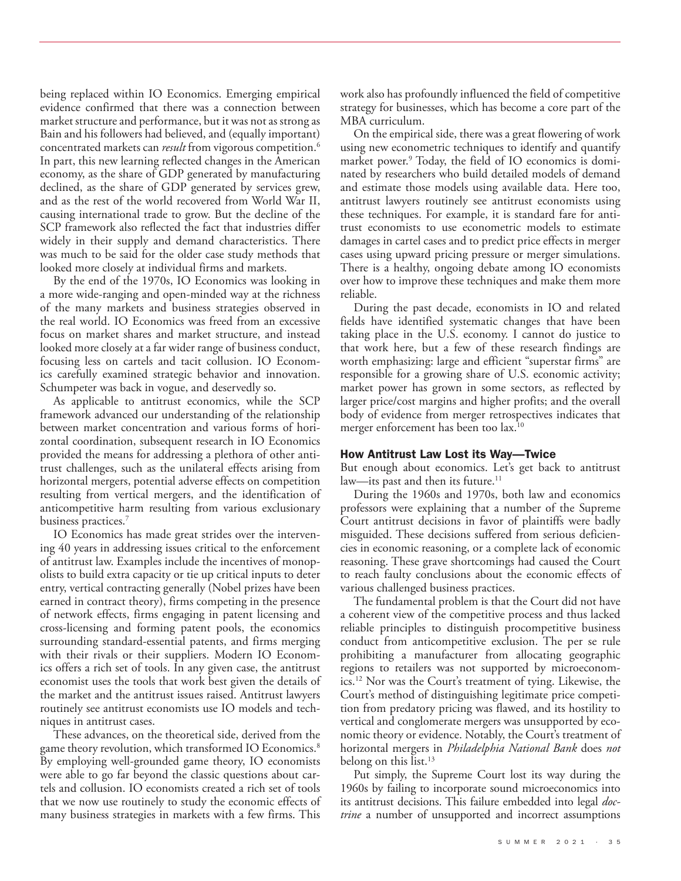being replaced within IO Economics. Emerging empirical evidence confirmed that there was a connection between market structure and performance, but it was not as strong as Bain and his followers had believed, and (equally important) concentrated markets can *result* from vigorous competition.6 In part, this new learning reflected changes in the American economy, as the share of GDP generated by manufacturing declined, as the share of GDP generated by services grew, and as the rest of the world recovered from World War II, causing international trade to grow. But the decline of the SCP framework also reflected the fact that industries differ widely in their supply and demand characteristics. There was much to be said for the older case study methods that looked more closely at individual firms and markets.

By the end of the 1970s, IO Economics was looking in a more wide-ranging and open-minded way at the richness of the many markets and business strategies observed in the real world. IO Economics was freed from an excessive focus on market shares and market structure, and instead looked more closely at a far wider range of business conduct, focusing less on cartels and tacit collusion. IO Economics carefully examined strategic behavior and innovation. Schumpeter was back in vogue, and deservedly so.

As applicable to antitrust economics, while the SCP framework advanced our understanding of the relationship between market concentration and various forms of horizontal coordination, subsequent research in IO Economics provided the means for addressing a plethora of other antitrust challenges, such as the unilateral effects arising from horizontal mergers, potential adverse effects on competition resulting from vertical mergers, and the identification of anticompetitive harm resulting from various exclusionary business practices.<sup>7</sup>

IO Economics has made great strides over the intervening 40 years in addressing issues critical to the enforcement of antitrust law. Examples include the incentives of monopolists to build extra capacity or tie up critical inputs to deter entry, vertical contracting generally (Nobel prizes have been earned in contract theory), firms competing in the presence of network effects, firms engaging in patent licensing and cross-licensing and forming patent pools, the economics surrounding standard-essential patents, and firms merging with their rivals or their suppliers. Modern IO Economics offers a rich set of tools. In any given case, the antitrust economist uses the tools that work best given the details of the market and the antitrust issues raised. Antitrust lawyers routinely see antitrust economists use IO models and techniques in antitrust cases.

These advances, on the theoretical side, derived from the game theory revolution, which transformed IO Economics.<sup>8</sup> By employing well-grounded game theory, IO economists were able to go far beyond the classic questions about cartels and collusion. IO economists created a rich set of tools that we now use routinely to study the economic effects of many business strategies in markets with a few firms. This work also has profoundly influenced the field of competitive strategy for businesses, which has become a core part of the MBA curriculum.

On the empirical side, there was a great flowering of work using new econometric techniques to identify and quantify market power.<sup>9</sup> Today, the field of IO economics is dominated by researchers who build detailed models of demand and estimate those models using available data. Here too, antitrust lawyers routinely see antitrust economists using these techniques. For example, it is standard fare for antitrust economists to use econometric models to estimate damages in cartel cases and to predict price effects in merger cases using upward pricing pressure or merger simulations. There is a healthy, ongoing debate among IO economists over how to improve these techniques and make them more reliable.

During the past decade, economists in IO and related fields have identified systematic changes that have been taking place in the U.S. economy. I cannot do justice to that work here, but a few of these research findings are worth emphasizing: large and efficient "superstar firms" are responsible for a growing share of U.S. economic activity; market power has grown in some sectors, as reflected by larger price/cost margins and higher profits; and the overall body of evidence from merger retrospectives indicates that merger enforcement has been too lax.<sup>10</sup>

#### How Antitrust Law Lost its Way—Twice

But enough about economics. Let's get back to antitrust law—its past and then its future.<sup>11</sup>

During the 1960s and 1970s, both law and economics professors were explaining that a number of the Supreme Court antitrust decisions in favor of plaintiffs were badly misguided. These decisions suffered from serious deficiencies in economic reasoning, or a complete lack of economic reasoning. These grave shortcomings had caused the Court to reach faulty conclusions about the economic effects of various challenged business practices.

The fundamental problem is that the Court did not have a coherent view of the competitive process and thus lacked reliable principles to distinguish procompetitive business conduct from anticompetitive exclusion. The per se rule prohibiting a manufacturer from allocating geographic regions to retailers was not supported by microeconomics.12 Nor was the Court's treatment of tying. Likewise, the Court's method of distinguishing legitimate price competition from predatory pricing was flawed, and its hostility to vertical and conglomerate mergers was unsupported by economic theory or evidence. Notably, the Court's treatment of horizontal mergers in *Philadelphia National Bank* does *not* belong on this list. $13$ 

Put simply, the Supreme Court lost its way during the 1960s by failing to incorporate sound microeconomics into its antitrust decisions. This failure embedded into legal *doctrine* a number of unsupported and incorrect assumptions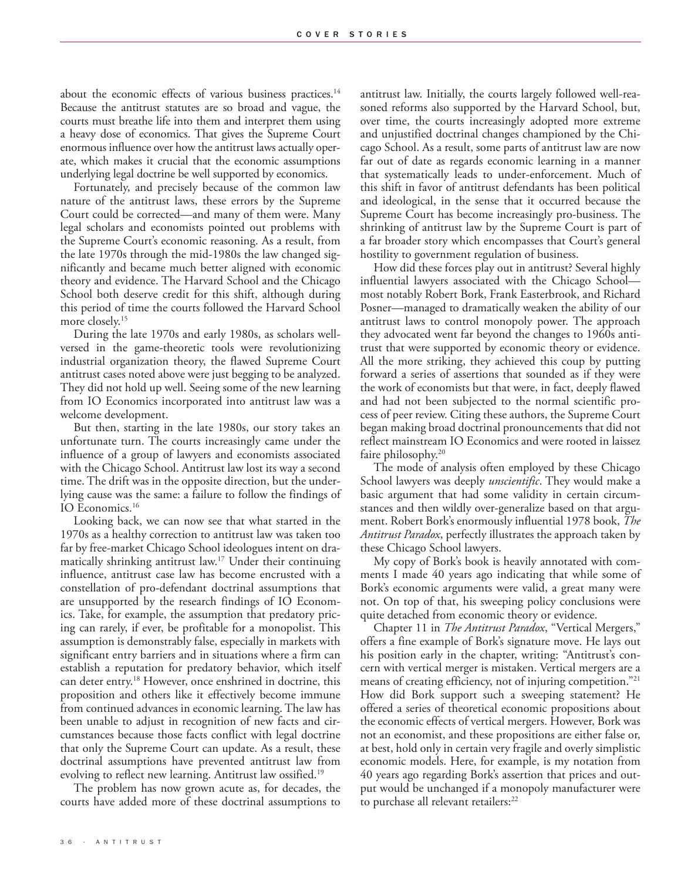about the economic effects of various business practices.<sup>14</sup> Because the antitrust statutes are so broad and vague, the courts must breathe life into them and interpret them using a heavy dose of economics. That gives the Supreme Court enormous influence over how the antitrust laws actually operate, which makes it crucial that the economic assumptions underlying legal doctrine be well supported by economics.

Fortunately, and precisely because of the common law nature of the antitrust laws, these errors by the Supreme Court could be corrected—and many of them were. Many legal scholars and economists pointed out problems with the Supreme Court's economic reasoning. As a result, from the late 1970s through the mid-1980s the law changed significantly and became much better aligned with economic theory and evidence. The Harvard School and the Chicago School both deserve credit for this shift, although during this period of time the courts followed the Harvard School more closely.<sup>15</sup>

During the late 1970s and early 1980s, as scholars wellversed in the game-theoretic tools were revolutionizing industrial organization theory, the flawed Supreme Court antitrust cases noted above were just begging to be analyzed. They did not hold up well. Seeing some of the new learning from IO Economics incorporated into antitrust law was a welcome development.

But then, starting in the late 1980s, our story takes an unfortunate turn. The courts increasingly came under the influence of a group of lawyers and economists associated with the Chicago School. Antitrust law lost its way a second time. The drift was in the opposite direction, but the underlying cause was the same: a failure to follow the findings of IO Economics.16

Looking back, we can now see that what started in the 1970s as a healthy correction to antitrust law was taken too far by free-market Chicago School ideologues intent on dramatically shrinking antitrust law.17 Under their continuing influence, antitrust case law has become encrusted with a constellation of pro-defendant doctrinal assumptions that are unsupported by the research findings of IO Economics. Take, for example, the assumption that predatory pricing can rarely, if ever, be profitable for a monopolist. This assumption is demonstrably false, especially in markets with significant entry barriers and in situations where a firm can establish a reputation for predatory behavior, which itself can deter entry.18 However, once enshrined in doctrine, this proposition and others like it effectively become immune from continued advances in economic learning. The law has been unable to adjust in recognition of new facts and circumstances because those facts conflict with legal doctrine that only the Supreme Court can update. As a result, these doctrinal assumptions have prevented antitrust law from evolving to reflect new learning. Antitrust law ossified.19

The problem has now grown acute as, for decades, the courts have added more of these doctrinal assumptions to

antitrust law. Initially, the courts largely followed well-reasoned reforms also supported by the Harvard School, but, over time, the courts increasingly adopted more extreme and unjustified doctrinal changes championed by the Chicago School. As a result, some parts of antitrust law are now far out of date as regards economic learning in a manner that systematically leads to under-enforcement. Much of this shift in favor of antitrust defendants has been political and ideological, in the sense that it occurred because the Supreme Court has become increasingly pro-business. The shrinking of antitrust law by the Supreme Court is part of a far broader story which encompasses that Court's general hostility to government regulation of business.

How did these forces play out in antitrust? Several highly influential lawyers associated with the Chicago School most notably Robert Bork, Frank Easterbrook, and Richard Posner—managed to dramatically weaken the ability of our antitrust laws to control monopoly power. The approach they advocated went far beyond the changes to 1960s antitrust that were supported by economic theory or evidence. All the more striking, they achieved this coup by putting forward a series of assertions that sounded as if they were the work of economists but that were, in fact, deeply flawed and had not been subjected to the normal scientific process of peer review. Citing these authors, the Supreme Court began making broad doctrinal pronouncements that did not reflect mainstream IO Economics and were rooted in laissez faire philosophy.<sup>20</sup>

The mode of analysis often employed by these Chicago School lawyers was deeply *unscientific*. They would make a basic argument that had some validity in certain circumstances and then wildly over-generalize based on that argument. Robert Bork's enormously influential 1978 book, *The Antitrust Paradox*, perfectly illustrates the approach taken by these Chicago School lawyers.

My copy of Bork's book is heavily annotated with comments I made 40 years ago indicating that while some of Bork's economic arguments were valid, a great many were not. On top of that, his sweeping policy conclusions were quite detached from economic theory or evidence.

Chapter 11 in *The Antitrust Paradox*, "Vertical Mergers," offers a fine example of Bork's signature move. He lays out his position early in the chapter, writing: "Antitrust's concern with vertical merger is mistaken. Vertical mergers are a means of creating efficiency, not of injuring competition."21 How did Bork support such a sweeping statement? He offered a series of theoretical economic propositions about the economic effects of vertical mergers. However, Bork was not an economist, and these propositions are either false or, at best, hold only in certain very fragile and overly simplistic economic models. Here, for example, is my notation from 40 years ago regarding Bork's assertion that prices and output would be unchanged if a monopoly manufacturer were to purchase all relevant retailers:<sup>22</sup>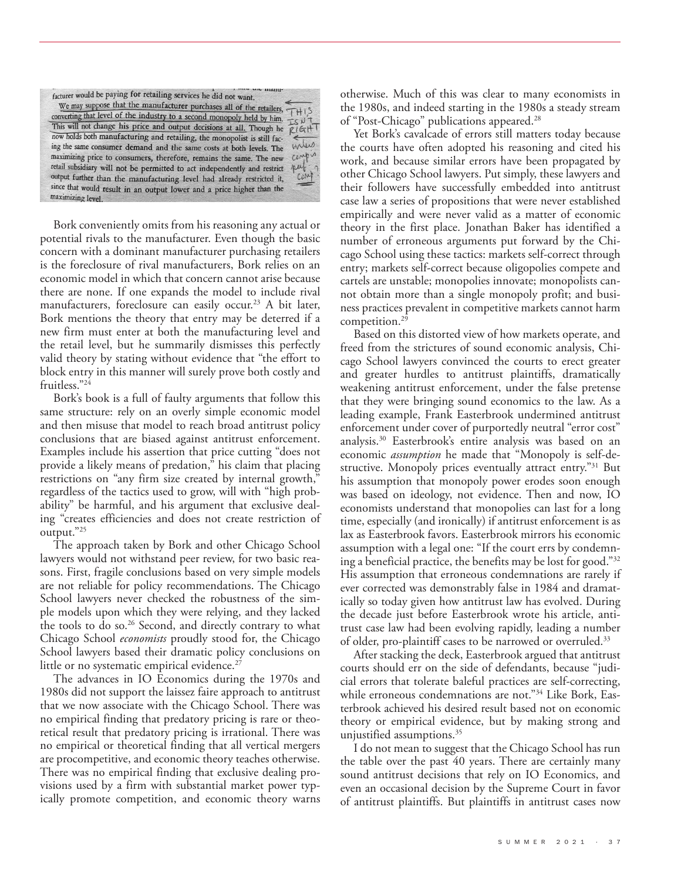| facturer would be paying for retailing services he did not want.                                     |        |
|------------------------------------------------------------------------------------------------------|--------|
| We may suppose that the manufacturer purchases all of the retailers, $\overrightarrow{f}$ + 1 S      |        |
| converting that level of the industry to a second monopoly held by him. $\pm \leq \mu + \frac{1}{2}$ |        |
|                                                                                                      |        |
| This will not change his price and output decisions at all. Though he                                | R16H1  |
| now holds both manufacturing and retailing, the monopolist is still fac-                             |        |
| ing the same consumer demand and the same costs at both levels. The                                  | miles  |
| maximizing price to consumers, therefore, remains the same. The new                                  | compis |
| retail subsidiary will not be permitted to act independently and restrict                            | put    |
| output further than the manufacturing level had already restricted it,                               |        |
| since that would result in an output lower and a price higher than the                               |        |
| maximizing level.                                                                                    |        |

Bork conveniently omits from his reasoning any actual or potential rivals to the manufacturer. Even though the basic concern with a dominant manufacturer purchasing retailers is the foreclosure of rival manufacturers, Bork relies on an economic model in which that concern cannot arise because there are none. If one expands the model to include rival manufacturers, foreclosure can easily occur.<sup>23</sup> A bit later, Bork mentions the theory that entry may be deterred if a new firm must enter at both the manufacturing level and the retail level, but he summarily dismisses this perfectly valid theory by stating without evidence that "the effort to block entry in this manner will surely prove both costly and fruitless."<sup>24</sup>

Bork's book is a full of faulty arguments that follow this same structure: rely on an overly simple economic model and then misuse that model to reach broad antitrust policy conclusions that are biased against antitrust enforcement. Examples include his assertion that price cutting "does not provide a likely means of predation," his claim that placing restrictions on "any firm size created by internal growth," regardless of the tactics used to grow, will with "high probability" be harmful, and his argument that exclusive dealing "creates efficiencies and does not create restriction of output."25

The approach taken by Bork and other Chicago School lawyers would not withstand peer review, for two basic reasons. First, fragile conclusions based on very simple models are not reliable for policy recommendations. The Chicago School lawyers never checked the robustness of the simple models upon which they were relying, and they lacked the tools to do so.<sup>26</sup> Second, and directly contrary to what Chicago School *economists* proudly stood for, the Chicago School lawyers based their dramatic policy conclusions on little or no systematic empirical evidence.<sup>27</sup>

The advances in IO Economics during the 1970s and 1980s did not support the laissez faire approach to antitrust that we now associate with the Chicago School. There was no empirical finding that predatory pricing is rare or theoretical result that predatory pricing is irrational. There was no empirical or theoretical finding that all vertical mergers are procompetitive, and economic theory teaches otherwise. There was no empirical finding that exclusive dealing provisions used by a firm with substantial market power typically promote competition, and economic theory warns

otherwise. Much of this was clear to many economists in the 1980s, and indeed starting in the 1980s a steady stream of "Post-Chicago" publications appeared.28

Yet Bork's cavalcade of errors still matters today because the courts have often adopted his reasoning and cited his work, and because similar errors have been propagated by other Chicago School lawyers. Put simply, these lawyers and their followers have successfully embedded into antitrust case law a series of propositions that were never established empirically and were never valid as a matter of economic theory in the first place. Jonathan Baker has identified a number of erroneous arguments put forward by the Chicago School using these tactics: markets self-correct through entry; markets self-correct because oligopolies compete and cartels are unstable; monopolies innovate; monopolists cannot obtain more than a single monopoly profit; and business practices prevalent in competitive markets cannot harm competition.29

Based on this distorted view of how markets operate, and freed from the strictures of sound economic analysis, Chicago School lawyers convinced the courts to erect greater and greater hurdles to antitrust plaintiffs, dramatically weakening antitrust enforcement, under the false pretense that they were bringing sound economics to the law. As a leading example, Frank Easterbrook undermined antitrust enforcement under cover of purportedly neutral "error cost" analysis.30 Easterbrook's entire analysis was based on an economic *assumption* he made that "Monopoly is self-destructive. Monopoly prices eventually attract entry."<sup>31</sup> But his assumption that monopoly power erodes soon enough was based on ideology, not evidence. Then and now, IO economists understand that monopolies can last for a long time, especially (and ironically) if antitrust enforcement is as lax as Easterbrook favors. Easterbrook mirrors his economic assumption with a legal one: "If the court errs by condemning a beneficial practice, the benefits may be lost for good."32 His assumption that erroneous condemnations are rarely if ever corrected was demonstrably false in 1984 and dramatically so today given how antitrust law has evolved. During the decade just before Easterbrook wrote his article, antitrust case law had been evolving rapidly, leading a number of older, pro-plaintiff cases to be narrowed or overruled.33

After stacking the deck, Easterbrook argued that antitrust courts should err on the side of defendants, because "judicial errors that tolerate baleful practices are self-correcting, while erroneous condemnations are not."<sup>34</sup> Like Bork, Easterbrook achieved his desired result based not on economic theory or empirical evidence, but by making strong and unjustified assumptions.<sup>35</sup>

I do not mean to suggest that the Chicago School has run the table over the past 40 years. There are certainly many sound antitrust decisions that rely on IO Economics, and even an occasional decision by the Supreme Court in favor of antitrust plaintiffs. But plaintiffs in antitrust cases now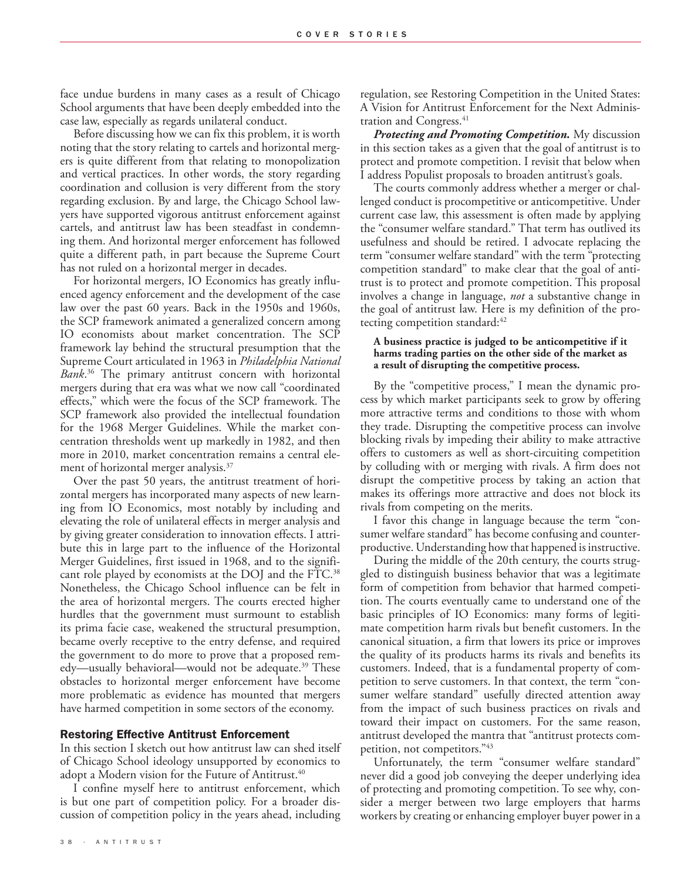face undue burdens in many cases as a result of Chicago School arguments that have been deeply embedded into the case law, especially as regards unilateral conduct.

Before discussing how we can fix this problem, it is worth noting that the story relating to cartels and horizontal mergers is quite different from that relating to monopolization and vertical practices. In other words, the story regarding coordination and collusion is very different from the story regarding exclusion. By and large, the Chicago School lawyers have supported vigorous antitrust enforcement against cartels, and antitrust law has been steadfast in condemning them. And horizontal merger enforcement has followed quite a different path, in part because the Supreme Court has not ruled on a horizontal merger in decades.

For horizontal mergers, IO Economics has greatly influenced agency enforcement and the development of the case law over the past 60 years. Back in the 1950s and 1960s, the SCP framework animated a generalized concern among IO economists about market concentration. The SCP framework lay behind the structural presumption that the Supreme Court articulated in 1963 in *Philadelphia National Bank*. 36 The primary antitrust concern with horizontal mergers during that era was what we now call "coordinated effects," which were the focus of the SCP framework. The SCP framework also provided the intellectual foundation for the 1968 Merger Guidelines. While the market concentration thresholds went up markedly in 1982, and then more in 2010, market concentration remains a central element of horizontal merger analysis.<sup>37</sup>

Over the past 50 years, the antitrust treatment of horizontal mergers has incorporated many aspects of new learning from IO Economics, most notably by including and elevating the role of unilateral effects in merger analysis and by giving greater consideration to innovation effects. I attribute this in large part to the influence of the Horizontal Merger Guidelines, first issued in 1968, and to the significant role played by economists at the DOJ and the FTC.38 Nonetheless, the Chicago School influence can be felt in the area of horizontal mergers. The courts erected higher hurdles that the government must surmount to establish its prima facie case, weakened the structural presumption, became overly receptive to the entry defense, and required the government to do more to prove that a proposed remedy—usually behavioral—would not be adequate.<sup>39</sup> These obstacles to horizontal merger enforcement have become more problematic as evidence has mounted that mergers have harmed competition in some sectors of the economy.

### Restoring Effective Antitrust Enforcement

In this section I sketch out how antitrust law can shed itself of Chicago School ideology unsupported by economics to adopt a Modern vision for the Future of Antitrust.<sup>40</sup>

I confine myself here to antitrust enforcement, which is but one part of competition policy. For a broader discussion of competition policy in the years ahead, including

3 8 · A N T I T R U S T

regulation, see [Restoring Competition in the United States:](http://faculty.haas.berkeley.edu/shapiro/restoringcompetition.pdf) [A Vision for Antitrust Enforcement for the Next Adminis](http://faculty.haas.berkeley.edu/shapiro/restoringcompetition.pdf)[tration and Congress.](http://faculty.haas.berkeley.edu/shapiro/restoringcompetition.pdf)<sup>41</sup>

*Protecting and Promoting Competition.* My discussion in this section takes as a given that the goal of antitrust is to protect and promote competition. I revisit that below when I address Populist proposals to broaden antitrust's goals.

The courts commonly address whether a merger or challenged conduct is procompetitive or anticompetitive. Under current case law, this assessment is often made by applying the "consumer welfare standard." That term has outlived its usefulness and should be retired. I advocate replacing the term "consumer welfare standard" with the term "protecting competition standard" to make clear that the goal of antitrust is to protect and promote competition. This proposal involves a change in language, *not* a substantive change in the goal of antitrust law. Here is my definition of the protecting competition standard:42

## **A business practice is judged to be anticompetitive if it harms trading parties on the other side of the market as a result of disrupting the competitive process.**

By the "competitive process," I mean the dynamic process by which market participants seek to grow by offering more attractive terms and conditions to those with whom they trade. Disrupting the competitive process can involve blocking rivals by impeding their ability to make attractive offers to customers as well as short-circuiting competition by colluding with or merging with rivals. A firm does not disrupt the competitive process by taking an action that makes its offerings more attractive and does not block its rivals from competing on the merits.

I favor this change in language because the term "consumer welfare standard" has become confusing and counterproductive. Understanding how that happened is instructive.

During the middle of the 20th century, the courts struggled to distinguish business behavior that was a legitimate form of competition from behavior that harmed competition. The courts eventually came to understand one of the basic principles of IO Economics: many forms of legitimate competition harm rivals but benefit customers. In the canonical situation, a firm that lowers its price or improves the quality of its products harms its rivals and benefits its customers. Indeed, that is a fundamental property of competition to serve customers. In that context, the term "consumer welfare standard" usefully directed attention away from the impact of such business practices on rivals and toward their impact on customers. For the same reason, antitrust developed the mantra that "antitrust protects competition, not competitors."43

Unfortunately, the term "consumer welfare standard" never did a good job conveying the deeper underlying idea of protecting and promoting competition. To see why, consider a merger between two large employers that harms workers by creating or enhancing employer buyer power in a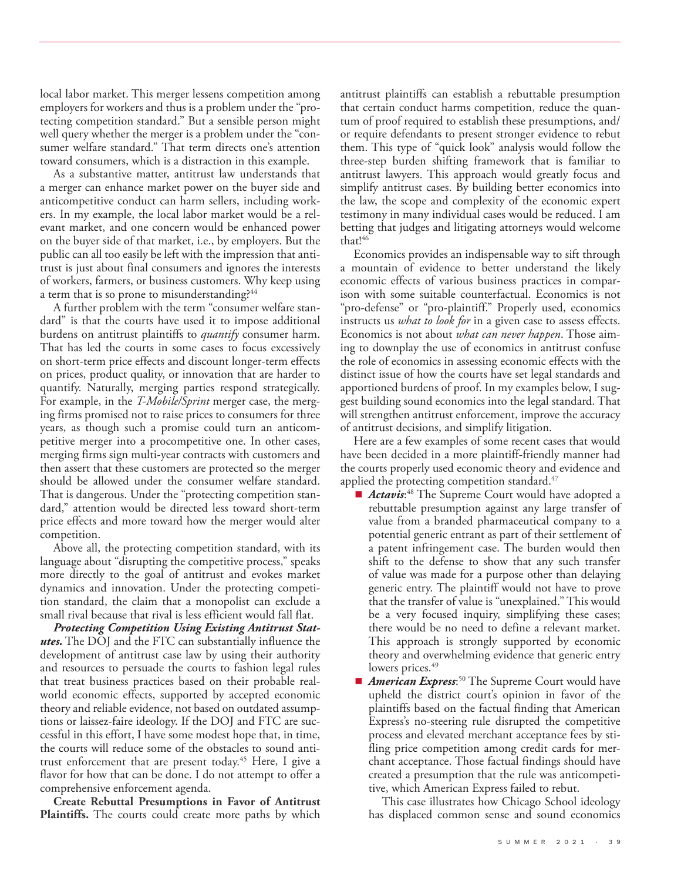local labor market. This merger lessens competition among employers for workers and thus is a problem under the "protecting competition standard." But a sensible person might well query whether the merger is a problem under the "consumer welfare standard." That term directs one's attention toward consumers, which is a distraction in this example.

As a substantive matter, antitrust law understands that a merger can enhance market power on the buyer side and anticompetitive conduct can harm sellers, including workers. In my example, the local labor market would be a relevant market, and one concern would be enhanced power on the buyer side of that market, i.e., by employers. But the public can all too easily be left with the impression that antitrust is just about final consumers and ignores the interests of workers, farmers, or business customers. Why keep using a term that is so prone to misunderstanding?<sup>44</sup>

A further problem with the term "consumer welfare standard" is that the courts have used it to impose additional burdens on antitrust plaintiffs to *quantify* consumer harm. That has led the courts in some cases to focus excessively on short-term price effects and discount longer-term effects on prices, product quality, or innovation that are harder to quantify. Naturally, merging parties respond strategically. For example, in the *T-Mobile/Sprint* merger case, the merging firms promised not to raise prices to consumers for three years, as though such a promise could turn an anticompetitive merger into a procompetitive one. In other cases, merging firms sign multi-year contracts with customers and then assert that these customers are protected so the merger should be allowed under the consumer welfare standard. That is dangerous. Under the "protecting competition standard," attention would be directed less toward short-term price effects and more toward how the merger would alter competition.

Above all, the protecting competition standard, with its language about "disrupting the competitive process," speaks more directly to the goal of antitrust and evokes market dynamics and innovation. Under the protecting competition standard, the claim that a monopolist can exclude a small rival because that rival is less efficient would fall flat.

*Protecting Competition Using Existing Antitrust Statutes.* The DOJ and the FTC can substantially influence the development of antitrust case law by using their authority and resources to persuade the courts to fashion legal rules that treat business practices based on their probable realworld economic effects, supported by accepted economic theory and reliable evidence, not based on outdated assumptions or laissez-faire ideology. If the DOJ and FTC are successful in this effort, I have some modest hope that, in time, the courts will reduce some of the obstacles to sound antitrust enforcement that are present today.<sup>45</sup> Here, I give a flavor for how that can be done. I do not attempt to offer a comprehensive enforcement agenda.

**Create Rebuttal Presumptions in Favor of Antitrust**  Plaintiffs. The courts could create more paths by which antitrust plaintiffs can establish a rebuttable presumption that certain conduct harms competition, reduce the quantum of proof required to establish these presumptions, and/ or require defendants to present stronger evidence to rebut them. This type of "quick look" analysis would follow the three-step burden shifting framework that is familiar to antitrust lawyers. This approach would greatly focus and simplify antitrust cases. By building better economics into the law, the scope and complexity of the economic expert testimony in many individual cases would be reduced. I am betting that judges and litigating attorneys would welcome that!46

Economics provides an indispensable way to sift through a mountain of evidence to better understand the likely economic effects of various business practices in comparison with some suitable counterfactual. Economics is not "pro-defense" or "pro-plaintiff." Properly used, economics instructs us *what to look for* in a given case to assess effects. Economics is not about *what can never happen*. Those aiming to downplay the use of economics in antitrust confuse the role of economics in assessing economic effects with the distinct issue of how the courts have set legal standards and apportioned burdens of proof. In my examples below, I suggest building sound economics into the legal standard. That will strengthen antitrust enforcement, improve the accuracy of antitrust decisions, and simplify litigation.

Here are a few examples of some recent cases that would have been decided in a more plaintiff-friendly manner had the courts properly used economic theory and evidence and applied the protecting competition standard. $47$ 

- *Actavis*:<sup>48</sup> The Supreme Court would have adopted a rebuttable presumption against any large transfer of value from a branded pharmaceutical company to a potential generic entrant as part of their settlement of a patent infringement case. The burden would then shift to the defense to show that any such transfer of value was made for a purpose other than delaying generic entry. The plaintiff would not have to prove that the transfer of value is "unexplained." This would be a very focused inquiry, simplifying these cases; there would be no need to define a relevant market. This approach is strongly supported by economic theory and overwhelming evidence that generic entry lowers prices.<sup>49</sup>
- *American Express*:<sup>50</sup> The Supreme Court would have upheld the district court's opinion in favor of the plaintiffs based on the factual finding that American Express's no-steering rule disrupted the competitive process and elevated merchant acceptance fees by stifling price competition among credit cards for merchant acceptance. Those factual findings should have created a presumption that the rule was anticompetitive, which American Express failed to rebut.

This case illustrates how Chicago School ideology has displaced common sense and sound economics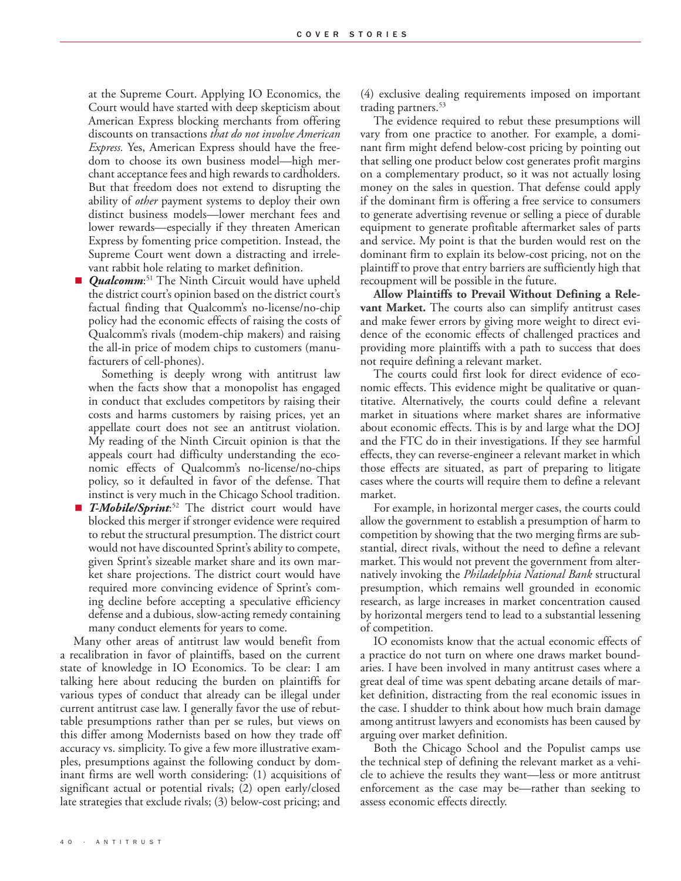at the Supreme Court. Applying IO Economics, the Court would have started with deep skepticism about American Express blocking merchants from offering discounts on transactions *that do not involve American Express.* Yes, American Express should have the freedom to choose its own business model—high merchant acceptance fees and high rewards to cardholders. But that freedom does not extend to disrupting the ability of *other* payment systems to deploy their own distinct business models—lower merchant fees and lower rewards—especially if they threaten American Express by fomenting price competition. Instead, the Supreme Court went down a distracting and irrelevant rabbit hole relating to market definition.

■ *Qualcomm*:<sup>51</sup> The Ninth Circuit would have upheld the district court's opinion based on the district court's factual finding that Qualcomm's no-license/no-chip policy had the economic effects of raising the costs of Qualcomm's rivals (modem-chip makers) and raising the all-in price of modem chips to customers (manufacturers of cell-phones).

Something is deeply wrong with antitrust law when the facts show that a monopolist has engaged in conduct that excludes competitors by raising their costs and harms customers by raising prices, yet an appellate court does not see an antitrust violation. My reading of the Ninth Circuit opinion is that the appeals court had difficulty understanding the economic effects of Qualcomm's no-license/no-chips policy, so it defaulted in favor of the defense. That instinct is very much in the Chicago School tradition.

■ *T-Mobile/Sprint*<sup>52</sup> The district court would have blocked this merger if stronger evidence were required to rebut the structural presumption. The district court would not have discounted Sprint's ability to compete, given Sprint's sizeable market share and its own market share projections. The district court would have required more convincing evidence of Sprint's coming decline before accepting a speculative efficiency defense and a dubious, slow-acting remedy containing many conduct elements for years to come.

Many other areas of antitrust law would benefit from a recalibration in favor of plaintiffs, based on the current state of knowledge in IO Economics. To be clear: I am talking here about reducing the burden on plaintiffs for various types of conduct that already can be illegal under current antitrust case law. I generally favor the use of rebuttable presumptions rather than per se rules, but views on this differ among Modernists based on how they trade off accuracy vs. simplicity. To give a few more illustrative examples, presumptions against the following conduct by dominant firms are well worth considering: (1) acquisitions of significant actual or potential rivals; (2) open early/closed late strategies that exclude rivals; (3) below-cost pricing; and

(4) exclusive dealing requirements imposed on important trading partners.<sup>53</sup>

The evidence required to rebut these presumptions will vary from one practice to another. For example, a dominant firm might defend below-cost pricing by pointing out that selling one product below cost generates profit margins on a complementary product, so it was not actually losing money on the sales in question. That defense could apply if the dominant firm is offering a free service to consumers to generate advertising revenue or selling a piece of durable equipment to generate profitable aftermarket sales of parts and service. My point is that the burden would rest on the dominant firm to explain its below-cost pricing, not on the plaintiff to prove that entry barriers are sufficiently high that recoupment will be possible in the future.

**Allow Plaintiffs to Prevail Without Defining a Relevant Market.** The courts also can simplify antitrust cases and make fewer errors by giving more weight to direct evidence of the economic effects of challenged practices and providing more plaintiffs with a path to success that does not require defining a relevant market.

The courts could first look for direct evidence of economic effects. This evidence might be qualitative or quantitative. Alternatively, the courts could define a relevant market in situations where market shares are informative about economic effects. This is by and large what the DOJ and the FTC do in their investigations. If they see harmful effects, they can reverse-engineer a relevant market in which those effects are situated, as part of preparing to litigate cases where the courts will require them to define a relevant market.

For example, in horizontal merger cases, the courts could allow the government to establish a presumption of harm to competition by showing that the two merging firms are substantial, direct rivals, without the need to define a relevant market. This would not prevent the government from alternatively invoking the *Philadelphia National Bank* structural presumption, which remains well grounded in economic research, as large increases in market concentration caused by horizontal mergers tend to lead to a substantial lessening of competition.

IO economists know that the actual economic effects of a practice do not turn on where one draws market boundaries. I have been involved in many antitrust cases where a great deal of time was spent debating arcane details of market definition, distracting from the real economic issues in the case. I shudder to think about how much brain damage among antitrust lawyers and economists has been caused by arguing over market definition.

Both the Chicago School and the Populist camps use the technical step of defining the relevant market as a vehicle to achieve the results they want—less or more antitrust enforcement as the case may be—rather than seeking to assess economic effects directly.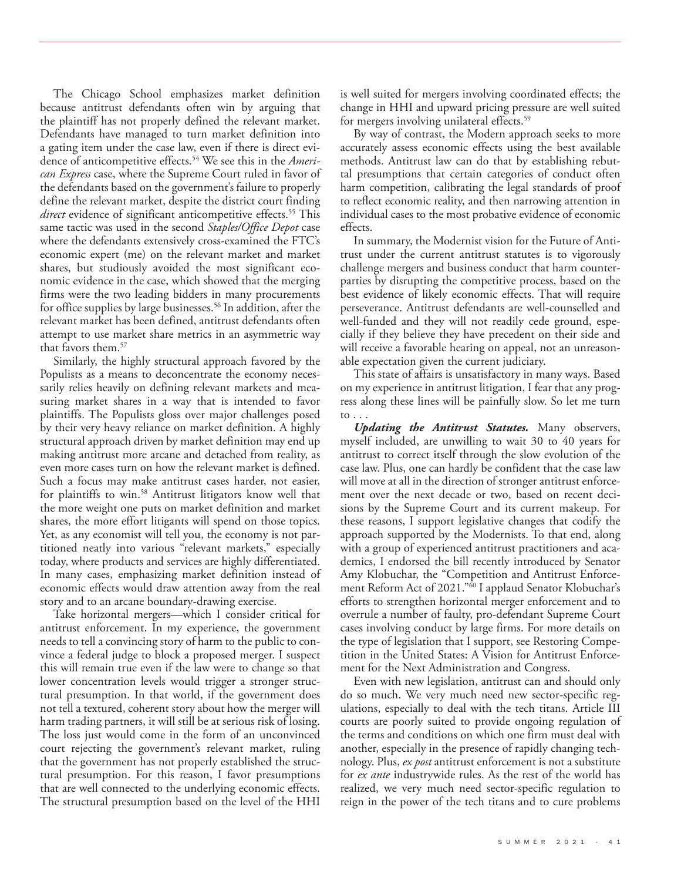The Chicago School emphasizes market definition because antitrust defendants often win by arguing that the plaintiff has not properly defined the relevant market. Defendants have managed to turn market definition into a gating item under the case law, even if there is direct evidence of anticompetitive effects.54 We see this in the *American Express* case, where the Supreme Court ruled in favor of the defendants based on the government's failure to properly define the relevant market, despite the district court finding *direct* evidence of significant anticompetitive effects.<sup>55</sup> This same tactic was used in the second *Staples/Office Depot* case where the defendants extensively cross-examined the FTC's economic expert (me) on the relevant market and market shares, but studiously avoided the most significant economic evidence in the case, which showed that the merging firms were the two leading bidders in many procurements for office supplies by large businesses.<sup>56</sup> In addition, after the relevant market has been defined, antitrust defendants often attempt to use market share metrics in an asymmetric way that favors them.<sup>57</sup>

Similarly, the highly structural approach favored by the Populists as a means to deconcentrate the economy necessarily relies heavily on defining relevant markets and measuring market shares in a way that is intended to favor plaintiffs. The Populists gloss over major challenges posed by their very heavy reliance on market definition. A highly structural approach driven by market definition may end up making antitrust more arcane and detached from reality, as even more cases turn on how the relevant market is defined. Such a focus may make antitrust cases harder, not easier, for plaintiffs to win.<sup>58</sup> Antitrust litigators know well that the more weight one puts on market definition and market shares, the more effort litigants will spend on those topics. Yet, as any economist will tell you, the economy is not partitioned neatly into various "relevant markets," especially today, where products and services are highly differentiated. In many cases, emphasizing market definition instead of economic effects would draw attention away from the real story and to an arcane boundary-drawing exercise.

Take horizontal mergers—which I consider critical for antitrust enforcement. In my experience, the government needs to tell a convincing story of harm to the public to convince a federal judge to block a proposed merger. I suspect this will remain true even if the law were to change so that lower concentration levels would trigger a stronger structural presumption. In that world, if the government does not tell a textured, coherent story about how the merger will harm trading partners, it will still be at serious risk of losing. The loss just would come in the form of an unconvinced court rejecting the government's relevant market, ruling that the government has not properly established the structural presumption. For this reason, I favor presumptions that are well connected to the underlying economic effects. The structural presumption based on the level of the HHI

is well suited for mergers involving coordinated effects; the change in HHI and upward pricing pressure are well suited for mergers involving unilateral effects.<sup>59</sup>

By way of contrast, the Modern approach seeks to more accurately assess economic effects using the best available methods. Antitrust law can do that by establishing rebuttal presumptions that certain categories of conduct often harm competition, calibrating the legal standards of proof to reflect economic reality, and then narrowing attention in individual cases to the most probative evidence of economic effects.

In summary, the Modernist vision for the Future of Antitrust under the current antitrust statutes is to vigorously challenge mergers and business conduct that harm counterparties by disrupting the competitive process, based on the best evidence of likely economic effects. That will require perseverance. Antitrust defendants are well-counselled and well-funded and they will not readily cede ground, especially if they believe they have precedent on their side and will receive a favorable hearing on appeal, not an unreasonable expectation given the current judiciary.

This state of affairs is unsatisfactory in many ways. Based on my experience in antitrust litigation, I fear that any progress along these lines will be painfully slow. So let me turn to . . .

*Updating the Antitrust Statutes.* Many observers, myself included, are unwilling to wait 30 to 40 years for antitrust to correct itself through the slow evolution of the case law. Plus, one can hardly be confident that the case law will move at all in the direction of stronger antitrust enforcement over the next decade or two, based on recent decisions by the Supreme Court and its current makeup. For these reasons, I support legislative changes that codify the approach supported by the Modernists. To that end, along with a group of experienced antitrust practitioners and academics, I endorsed the bill recently introduced by Senator Amy Klobuchar, the "Competition and Antitrust Enforcement Reform Act of 2021."<sup>50</sup> I applaud Senator Klobuchar's efforts to strengthen horizontal merger enforcement and to overrule a number of faulty, pro-defendant Supreme Court cases involving conduct by large firms. For more details on the type of legislation that I support, see [Restoring Compe](http://faculty.haas.berkeley.edu/shapiro/restoringcompetition.pdf)[tition in the United States: A Vision for Antitrust Enforce](http://faculty.haas.berkeley.edu/shapiro/restoringcompetition.pdf)[ment for the Next Administration and Congress](http://faculty.haas.berkeley.edu/shapiro/restoringcompetition.pdf).

Even with new legislation, antitrust can and should only do so much. We very much need new sector-specific regulations, especially to deal with the tech titans. Article III courts are poorly suited to provide ongoing regulation of the terms and conditions on which one firm must deal with another, especially in the presence of rapidly changing technology. Plus, *ex post* antitrust enforcement is not a substitute for *ex ante* industrywide rules. As the rest of the world has realized, we very much need sector-specific regulation to reign in the power of the tech titans and to cure problems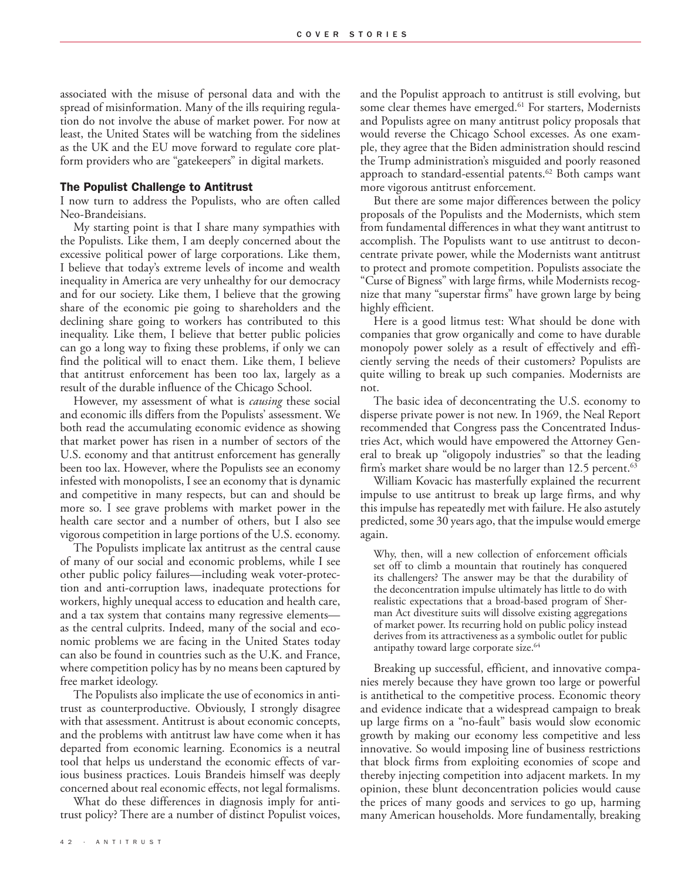associated with the misuse of personal data and with the spread of misinformation. Many of the ills requiring regulation do not involve the abuse of market power. For now at least, the United States will be watching from the sidelines as the UK and the EU move forward to regulate core platform providers who are "gatekeepers" in digital markets.

#### The Populist Challenge to Antitrust

I now turn to address the Populists, who are often called Neo-Brandeisians.

My starting point is that I share many sympathies with the Populists. Like them, I am deeply concerned about the excessive political power of large corporations. Like them, I believe that today's extreme levels of income and wealth inequality in America are very unhealthy for our democracy and for our society. Like them, I believe that the growing share of the economic pie going to shareholders and the declining share going to workers has contributed to this inequality. Like them, I believe that better public policies can go a long way to fixing these problems, if only we can find the political will to enact them. Like them, I believe that antitrust enforcement has been too lax, largely as a result of the durable influence of the Chicago School.

However, my assessment of what is *causing* these social and economic ills differs from the Populists' assessment. We both read the accumulating economic evidence as showing that market power has risen in a number of sectors of the U.S. economy and that antitrust enforcement has generally been too lax. However, where the Populists see an economy infested with monopolists, I see an economy that is dynamic and competitive in many respects, but can and should be more so. I see grave problems with market power in the health care sector and a number of others, but I also see vigorous competition in large portions of the U.S. economy.

The Populists implicate lax antitrust as the central cause of many of our social and economic problems, while I see other public policy failures—including weak voter-protection and anti-corruption laws, inadequate protections for workers, highly unequal access to education and health care, and a tax system that contains many regressive elements as the central culprits. Indeed, many of the social and economic problems we are facing in the United States today can also be found in countries such as the U.K. and France, where competition policy has by no means been captured by free market ideology.

The Populists also implicate the use of economics in antitrust as counterproductive. Obviously, I strongly disagree with that assessment. Antitrust is about economic concepts, and the problems with antitrust law have come when it has departed from economic learning. Economics is a neutral tool that helps us understand the economic effects of various business practices. Louis Brandeis himself was deeply concerned about real economic effects, not legal formalisms.

What do these differences in diagnosis imply for antitrust policy? There are a number of distinct Populist voices,

and the Populist approach to antitrust is still evolving, but some clear themes have emerged.<sup>61</sup> For starters, Modernists and Populists agree on many antitrust policy proposals that would reverse the Chicago School excesses. As one example, they agree that the Biden administration should rescind the Trump administration's misguided and poorly reasoned approach to standard-essential patents.<sup>62</sup> Both camps want more vigorous antitrust enforcement.

But there are some major differences between the policy proposals of the Populists and the Modernists, which stem from fundamental differences in what they want antitrust to accomplish. The Populists want to use antitrust to deconcentrate private power, while the Modernists want antitrust to protect and promote competition. Populists associate the "Curse of Bigness" with large firms, while Modernists recognize that many "superstar firms" have grown large by being highly efficient.

Here is a good litmus test: What should be done with companies that grow organically and come to have durable monopoly power solely as a result of effectively and efficiently serving the needs of their customers? Populists are quite willing to break up such companies. Modernists are not.

The basic idea of deconcentrating the U.S. economy to disperse private power is not new. In 1969, the Neal Report recommended that Congress pass the Concentrated Industries Act, which would have empowered the Attorney General to break up "oligopoly industries" so that the leading firm's market share would be no larger than 12.5 percent.<sup>63</sup>

William Kovacic has masterfully explained the recurrent impulse to use antitrust to break up large firms, and why this impulse has repeatedly met with failure. He also astutely predicted, some 30 years ago, that the impulse would emerge again.

Why, then, will a new collection of enforcement officials set off to climb a mountain that routinely has conquered its challengers? The answer may be that the durability of the deconcentration impulse ultimately has little to do with realistic expectations that a broad-based program of Sherman Act divestiture suits will dissolve existing aggregations of market power. Its recurring hold on public policy instead derives from its attractiveness as a symbolic outlet for public antipathy toward large corporate size.<sup>64</sup>

Breaking up successful, efficient, and innovative companies merely because they have grown too large or powerful is antithetical to the competitive process. Economic theory and evidence indicate that a widespread campaign to break up large firms on a "no-fault" basis would slow economic growth by making our economy less competitive and less innovative. So would imposing line of business restrictions that block firms from exploiting economies of scope and thereby injecting competition into adjacent markets. In my opinion, these blunt deconcentration policies would cause the prices of many goods and services to go up, harming many American households. More fundamentally, breaking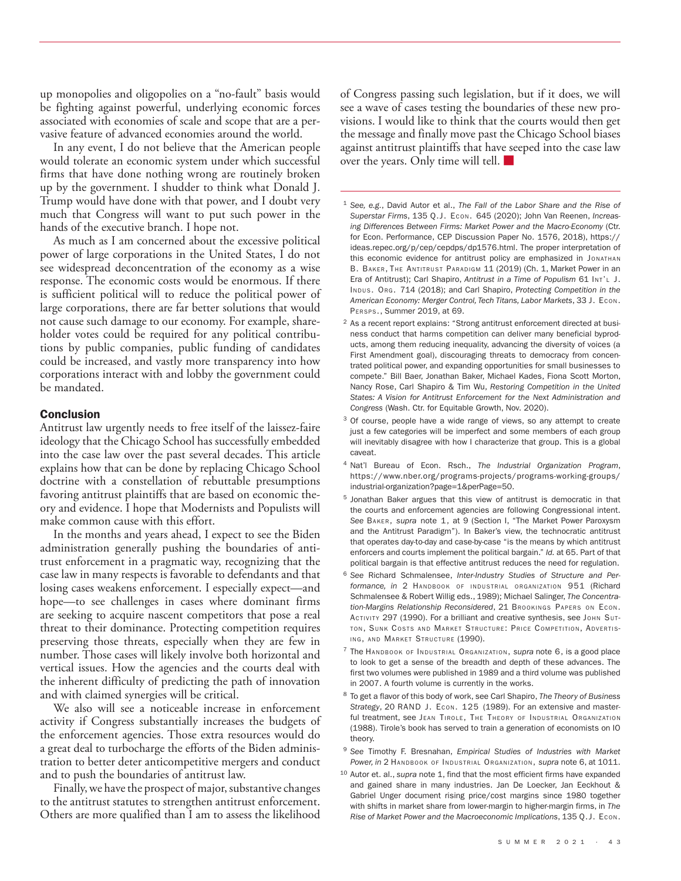up monopolies and oligopolies on a "no-fault" basis would be fighting against powerful, underlying economic forces associated with economies of scale and scope that are a pervasive feature of advanced economies around the world.

In any event, I do not believe that the American people would tolerate an economic system under which successful firms that have done nothing wrong are routinely broken up by the government. I shudder to think what Donald J. Trump would have done with that power, and I doubt very much that Congress will want to put such power in the hands of the executive branch. I hope not.

As much as I am concerned about the excessive political power of large corporations in the United States, I do not see widespread deconcentration of the economy as a wise response. The economic costs would be enormous. If there is sufficient political will to reduce the political power of large corporations, there are far better solutions that would not cause such damage to our economy. For example, shareholder votes could be required for any political contributions by public companies, public funding of candidates could be increased, and vastly more transparency into how corporations interact with and lobby the government could be mandated.

### **Conclusion**

Antitrust law urgently needs to free itself of the laissez-faire ideology that the Chicago School has successfully embedded into the case law over the past several decades. This article explains how that can be done by replacing Chicago School doctrine with a constellation of rebuttable presumptions favoring antitrust plaintiffs that are based on economic theory and evidence. I hope that Modernists and Populists will make common cause with this effort.

In the months and years ahead, I expect to see the Biden administration generally pushing the boundaries of antitrust enforcement in a pragmatic way, recognizing that the case law in many respects is favorable to defendants and that losing cases weakens enforcement. I especially expect—and hope—to see challenges in cases where dominant firms are seeking to acquire nascent competitors that pose a real threat to their dominance. Protecting competition requires preserving those threats, especially when they are few in number. Those cases will likely involve both horizontal and vertical issues. How the agencies and the courts deal with the inherent difficulty of predicting the path of innovation and with claimed synergies will be critical.

We also will see a noticeable increase in enforcement activity if Congress substantially increases the budgets of the enforcement agencies. Those extra resources would do a great deal to turbocharge the efforts of the Biden administration to better deter anticompetitive mergers and conduct and to push the boundaries of antitrust law.

Finally, we have the prospect of major, substantive changes to the antitrust statutes to strengthen antitrust enforcement. Others are more qualified than I am to assess the likelihood

of Congress passing such legislation, but if it does, we will see a wave of cases testing the boundaries of these new provisions. I would like to think that the courts would then get the message and finally move past the Chicago School biases against antitrust plaintiffs that have seeped into the case law over the years. Only time will tell.

- <sup>1</sup> *See, e.g.*, David Autor et al., *The Fall of the Labor Share and the Rise of Superstar Firms*, 135 Q.J. Econ. 645 (2020); John Van Reenen, *Increasing Differences Between Firms: Market Power and the Macro-Economy* (Ctr. for Econ. Performance, CEP Discussion Paper No. 1576, 2018), https:// ideas.repec.org/p/cep/cepdps/dp1576.html. The proper interpretation of this economic evidence for antitrust policy are emphasized in Jonathan B. BAKER, THE ANTITRUST PARADIGM 11 (2019) (Ch. 1, Market Power in an Era of Antitrust); Carl Shapiro, *Antitrust in a Time of Populism* 61 Int'L J. Indus. Org. 714 (2018); and Carl Shapiro, *Protecting Competition in the American Economy: Merger Control, Tech Titans, Labor Markets*, 33 J. Econ. Persps., Summer 2019, at 69.
- <sup>2</sup> As a recent report explains: "Strong antitrust enforcement directed at business conduct that harms competition can deliver many beneficial byproducts, among them reducing inequality, advancing the diversity of voices (a First Amendment goal), discouraging threats to democracy from concentrated political power, and expanding opportunities for small businesses to compete." Bill Baer, Jonathan Baker, Michael Kades, Fiona Scott Morton, Nancy Rose, Carl Shapiro & Tim Wu, *[Restoring Competition in the United](http://faculty.haas.berkeley.edu/shapiro/restoringcompetition.pdf)  [States: A Vision for Antitrust Enforcement for the Next Administration and](http://faculty.haas.berkeley.edu/shapiro/restoringcompetition.pdf) [Congress](http://faculty.haas.berkeley.edu/shapiro/restoringcompetition.pdf)* (Wash. Ctr. for Equitable Growth, Nov. 2020).
- <sup>3</sup> Of course, people have a wide range of views, so any attempt to create just a few categories will be imperfect and some members of each group will inevitably disagree with how I characterize that group. This is a global caveat.
- <sup>4</sup> Nat'l Bureau of Econ. Rsch., *The Industrial Organization Program*, https://www.nber.org/programs-projects/programs-working-groups/ industrial-organization?page=1&perPage=50.
- <sup>5</sup> Jonathan Baker argues that this view of antitrust is democratic in that the courts and enforcement agencies are following Congressional intent. *See* Baker, *supra* note 1, at 9 (Section I, "The Market Power Paroxysm and the Antitrust Paradigm"). In Baker's view, the technocratic antitrust that operates day-to-day and case-by-case "is the means by which antitrust enforcers and courts implement the political bargain." *Id.* at 65. Part of that political bargain is that effective antitrust reduces the need for regulation.
- <sup>6</sup> *See* Richard Schmalensee, *Inter-Industry Studies of Structure and Performance, in* 2 Handbook of industrial organization 951 (Richard Schmalensee & Robert Willig eds., 1989); Michael Salinger, *The Concentration-Margins Relationship Reconsidered*, 21 Brookings Papers on Econ. ACTIVITY 297 (1990). For a brilliant and creative synthesis, see John Sutton, Sunk Costs and Market Structure: Price Competition, Advertising, and Market Structure (1990).
- <sup>7</sup> The Handbook of Industrial Organization, *supra* note 6, is a good place to look to get a sense of the breadth and depth of these advances. The first two volumes were published in 1989 and a third volume was published in 2007. A fourth volume is currently in the works.
- <sup>8</sup> To get a flavor of this body of work, see Carl Shapiro, *The Theory of Business Strategy*, 20 RAND J. Econ. 125 (1989). For an extensive and masterful treatment, see JEAN TIROLE, THE THEORY OF INDUSTRIAL ORGANIZATION (1988). Tirole's book has served to train a generation of economists on IO theory.
- <sup>9</sup> *See* Timothy F. Bresnahan, *Empirical Studies of Industries with Market*  Power, in 2 Handbook of Industrial Organization, *supra* note 6, at 1011.
- <sup>10</sup> Autor et. al., *supra* note 1, find that the most efficient firms have expanded and gained share in many industries. Jan De Loecker, Jan Eeckhout & Gabriel Unger document rising price/cost margins since 1980 together with shifts in market share from lower-margin to higher-margin firms, in *The Rise of Market Power and the Macroeconomic Implications*, 135 Q.J. Econ.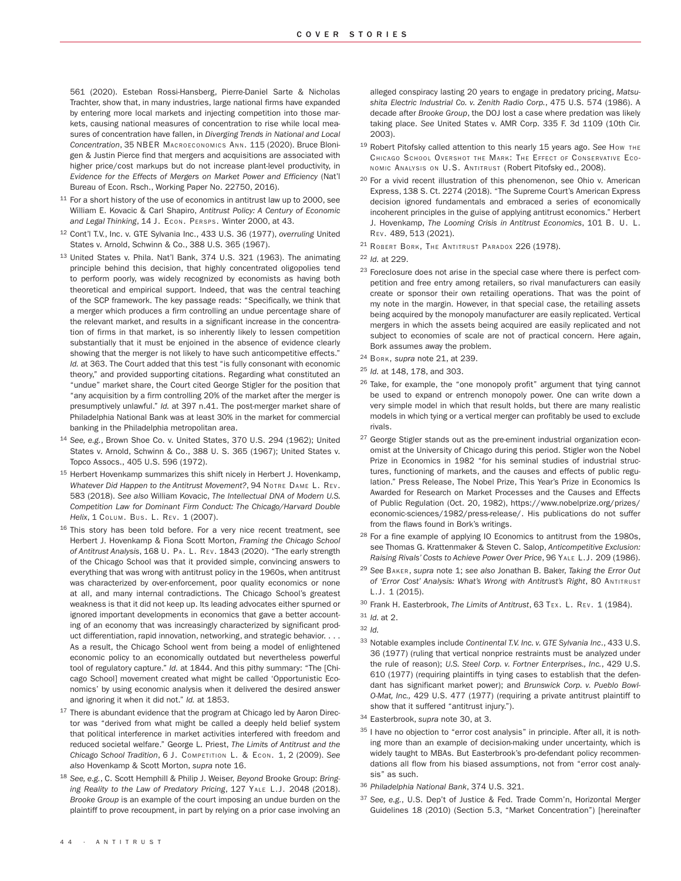561 (2020). Esteban Rossi-Hansberg, Pierre-Daniel Sarte & Nicholas Trachter, show that, in many industries, large national firms have expanded by entering more local markets and injecting competition into those markets, causing national measures of concentration to rise while local measures of concentration have fallen, in *Diverging Trends in National and Local Concentration*, 35 NBER Macroeconomics Ann. 115 (2020). Bruce Blonigen & Justin Pierce find that mergers and acquisitions are associated with higher price/cost markups but do not increase plant-level productivity, in *Evidence for the Effects of Mergers on Market Power and Efficiency* (Nat'l Bureau of Econ. Rsch., Working Paper No. 22750, 2016).

- $11$  For a short history of the use of economics in antitrust law up to 2000, see William E. Kovacic & Carl Shapiro, *Antitrust Policy: A Century of Economic and Legal Thinking*, 14 J. Econ. Persps. Winter 2000, at 43.
- <sup>12</sup> Cont'l T.V., Inc. v. GTE Sylvania Inc., 433 U.S. 36 (1977), *overruling* United States v. Arnold, Schwinn & Co., 388 U.S. 365 (1967).
- <sup>13</sup> United States v. Phila. Nat'l Bank, 374 U.S. 321 (1963). The animating principle behind this decision, that highly concentrated oligopolies tend to perform poorly, was widely recognized by economists as having both theoretical and empirical support. Indeed, that was the central teaching of the SCP framework. The key passage reads: "Specifically, we think that a merger which produces a firm controlling an undue percentage share of the relevant market, and results in a significant increase in the concentration of firms in that market, is so inherently likely to lessen competition substantially that it must be enjoined in the absence of evidence clearly showing that the merger is not likely to have such anticompetitive effects." *Id.* at 363. The Court added that this test "is fully consonant with economic theory," and provided supporting citations. Regarding what constituted an "undue" market share, the Court cited George Stigler for the position that "any acquisition by a firm controlling 20% of the market after the merger is presumptively unlawful." *Id.* at 397 n.41. The post-merger market share of Philadelphia National Bank was at least 30% in the market for commercial banking in the Philadelphia metropolitan area.
- <sup>14</sup> *See, e.g.*, Brown Shoe Co. v. United States, 370 U.S. 294 (1962); United States v. Arnold, Schwinn & Co., 388 U. S. 365 (1967); United States v. Topco Assocs., 405 U.S. 596 (1972).
- <sup>15</sup> Herbert Hovenkamp summarizes this shift nicely in Herbert J. Hovenkamp, *Whatever Did Happen to the Antitrust Movement?*, 94 Notre Dame L. Rev. 583 (2018). *See also* William Kovacic, *The Intellectual DNA of Modern U.S. Competition Law for Dominant Firm Conduct: The Chicago/Harvard Double Helix*, 1 Colum. Bus. L. Rev. 1 (2007).
- $16$  This story has been told before. For a very nice recent treatment, see Herbert J. Hovenkamp & Fiona Scott Morton, *Framing the Chicago School of Antitrust Analysis*, 168 U. Pa. L. Rev. 1843 (2020). "The early strength of the Chicago School was that it provided simple, convincing answers to everything that was wrong with antitrust policy in the 1960s, when antitrust was characterized by over-enforcement, poor quality economics or none at all, and many internal contradictions. The Chicago School's greatest weakness is that it did not keep up. Its leading advocates either spurned or ignored important developments in economics that gave a better accounting of an economy that was increasingly characterized by significant product differentiation, rapid innovation, networking, and strategic behavior. . . . As a result, the Chicago School went from being a model of enlightened economic policy to an economically outdated but nevertheless powerful tool of regulatory capture." *Id.* at 1844. And this pithy summary: "The [Chicago School] movement created what might be called 'Opportunistic Economics' by using economic analysis when it delivered the desired answer and ignoring it when it did not." *Id.* at 1853.
- $^{17}$  There is abundant evidence that the program at Chicago led by Aaron Director was "derived from what might be called a deeply held belief system that political interference in market activities interfered with freedom and reduced societal welfare." George L. Priest, *The Limits of Antitrust and the Chicago School Tradition*, 6 J. Competition L. & Econ. 1, 2 (2009). *See also* Hovenkamp & Scott Morton, *supra* note 16.
- <sup>18</sup> *See, e.g.*, C. Scott Hemphill & Philip J. Weiser, *Beyond* Brooke Group: *Bringing Reality to the Law of Predatory Pricing*, 127 Yale L.J. 2048 (2018). *Brooke Group* is an example of the court imposing an undue burden on the plaintiff to prove recoupment, in part by relying on a prior case involving an

alleged conspiracy lasting 20 years to engage in predatory pricing, *Matsushita Electric Industrial Co. v. Zenith Radio Corp.*, 475 U.S. 574 (1986). A decade after *Brooke Group*, the DOJ lost a case where predation was likely taking place. *See* United States v. AMR Corp. 335 F. 3d 1109 (10th Cir. 2003).

- <sup>19</sup> Robert Pitofsky called attention to this nearly 15 years ago. *See* How the Chicago School Overshot the Mark: The Effect of Conservative Economic Analysis on U.S. Antitrust (Robert Pitofsky ed., 2008).
- <sup>20</sup> For a vivid recent illustration of this phenomenon, see Ohio v. American Express, 138 S. Ct. 2274 (2018). "The Supreme Court's American Express decision ignored fundamentals and embraced a series of economically incoherent principles in the guise of applying antitrust economics." Herbert J. Hovenkamp, *The Looming Crisis in Antitrust Economics*, 101 B. U. L. Rev. 489, 513 (2021).
- <sup>21</sup> Robert Bork, The Antitrust Paradox 226 (1978).
- <sup>22</sup> *Id.* at 229.
- $23$  Foreclosure does not arise in the special case where there is perfect competition and free entry among retailers, so rival manufacturers can easily create or sponsor their own retailing operations. That was the point of my note in the margin. However, in that special case, the retailing assets being acquired by the monopoly manufacturer are easily replicated. Vertical mergers in which the assets being acquired are easily replicated and not subject to economies of scale are not of practical concern. Here again, Bork assumes away the problem.
- <sup>24</sup> Bork, *supra* note 21, at 239.
- <sup>25</sup> *Id.* at 148, 178, and 303.
- <sup>26</sup> Take, for example, the "one monopoly profit" argument that tying cannot be used to expand or entrench monopoly power. One can write down a very simple model in which that result holds, but there are many realistic models in which tying or a vertical merger can profitably be used to exclude rivals.
- <sup>27</sup> George Stigler stands out as the pre-eminent industrial organization economist at the University of Chicago during this period. Stigler won the Nobel Prize in Economics in 1982 "for his seminal studies of industrial structures, functioning of markets, and the causes and effects of public regulation." Press Release, The Nobel Prize, This Year's Prize in Economics Is Awarded for Research on Market Processes and the Causes and Effects of Public Regulation (Oct. 20, 1982), https://www.nobelprize.org/prizes/ economic-sciences/1982/press-release/. His publications do not suffer from the flaws found in Bork's writings.
- <sup>28</sup> For a fine example of applying IO Economics to antitrust from the 1980s, see Thomas G. Krattenmaker & Steven C. Salop, *Anticompetitive Exclusion: Raising Rivals' Costs to Achieve Power Over Price*, 96 Yale L.J. 209 (1986).
- <sup>29</sup> *See* Baker, *supra* note 1; *see also* Jonathan B. Baker, *Taking the Error Out of 'Error Cost' Analysis: What's Wrong with Antitrust's Right*, 80 Antitrust L.J. 1 (2015).
- <sup>30</sup> Frank H. Easterbrook, *The Limits of Antitrust*, 63 Tex. L. Rev. 1 (1984).

- <sup>33</sup> Notable examples include *Continental T.V. Inc. v. GTE Sylvania Inc*., 433 U.S. 36 (1977) (ruling that vertical nonprice restraints must be analyzed under the rule of reason); *U.S. Steel Corp. v. Fortner Enterprises., Inc.*, 429 U.S. 610 (1977) (requiring plaintiffs in tying cases to establish that the defendant has significant market power); and *Brunswick Corp. v. Pueblo Bowl-O-Mat, Inc.,* 429 U.S. 477 (1977) (requiring a private antitrust plaintiff to show that it suffered "antitrust injury.").
- <sup>34</sup> Easterbrook, *supra* note 30, at 3.
- $35$  I have no objection to "error cost analysis" in principle. After all, it is nothing more than an example of decision-making under uncertainty, which is widely taught to MBAs. But Easterbrook's pro-defendant policy recommendations all flow from his biased assumptions, not from "error cost analysis" as such.
- <sup>36</sup> *Philadelphia National Bank*, 374 U.S. 321.
- <sup>37</sup> *See, e.g.*, U.S. Dep't of Justice & Fed. Trade Comm'n, Horizontal Merger Guidelines 18 (2010) (Section 5.3, "Market Concentration") [hereinafter

<sup>31</sup> *Id.* at 2.

<sup>32</sup> *Id.*